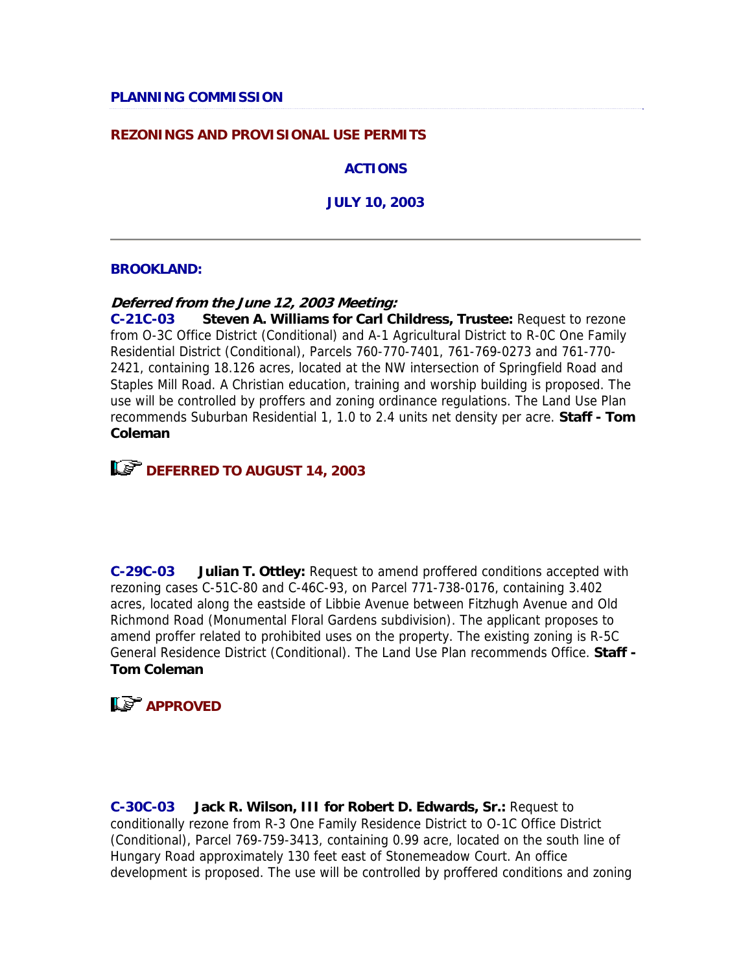## **REZONINGS AND PROVISIONAL USE PERMITS**

**ACTIONS**

**JULY 10, 2003**

### **BROOKLAND:**

### **Deferred from the June 12, 2003 Meeting:**

**C-21C-03 Steven A. Williams for Carl Childress, Trustee:** Request to rezone from O-3C Office District (Conditional) and A-1 Agricultural District to R-0C One Family Residential District (Conditional), Parcels 760-770-7401, 761-769-0273 and 761-770- 2421, containing 18.126 acres, located at the NW intersection of Springfield Road and Staples Mill Road. A Christian education, training and worship building is proposed. The use will be controlled by proffers and zoning ordinance regulations. The Land Use Plan recommends Suburban Residential 1, 1.0 to 2.4 units net density per acre. **Staff - Tom Coleman**



**C-29C-03 Julian T. Ottley:** Request to amend proffered conditions accepted with rezoning cases C-51C-80 and C-46C-93, on Parcel 771-738-0176, containing 3.402 acres, located along the eastside of Libbie Avenue between Fitzhugh Avenue and Old Richmond Road (Monumental Floral Gardens subdivision). The applicant proposes to amend proffer related to prohibited uses on the property. The existing zoning is R-5C General Residence District (Conditional). The Land Use Plan recommends Office. **Staff - Tom Coleman**

# **LS** APPROVED

**C-30C-03 Jack R. Wilson, III for Robert D. Edwards, Sr.:** Request to conditionally rezone from R-3 One Family Residence District to O-1C Office District (Conditional), Parcel 769-759-3413, containing 0.99 acre, located on the south line of Hungary Road approximately 130 feet east of Stonemeadow Court. An office development is proposed. The use will be controlled by proffered conditions and zoning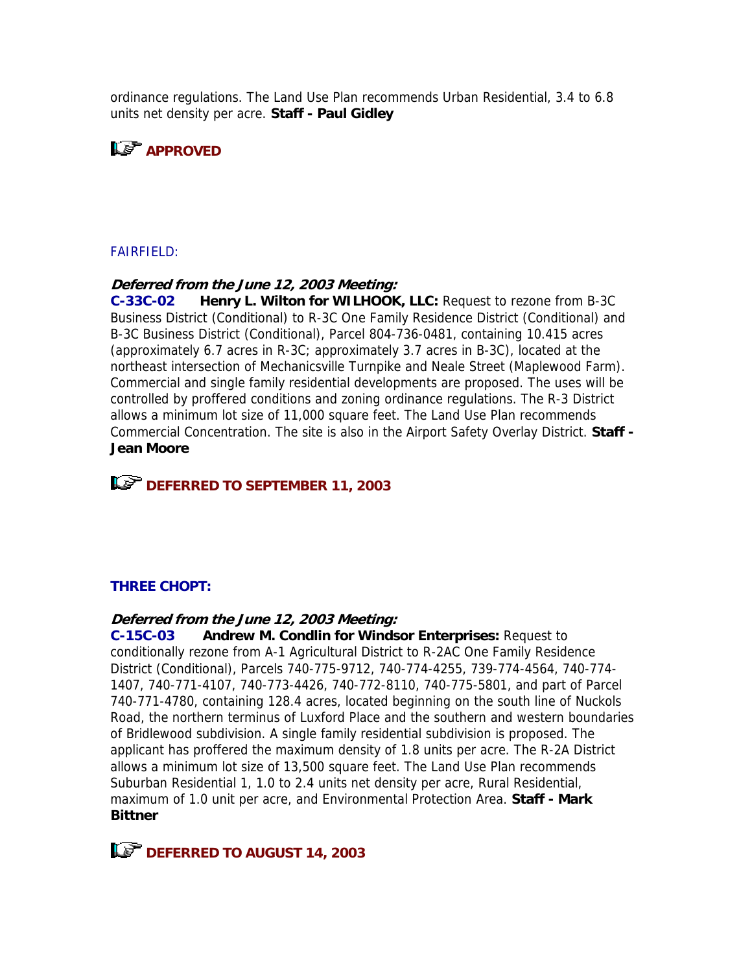ordinance regulations. The Land Use Plan recommends Urban Residential, 3.4 to 6.8 units net density per acre. **Staff - Paul Gidley**



## FAIRFIELD:

### **Deferred from the June 12, 2003 Meeting:**

**C-33C-02 Henry L. Wilton for WILHOOK, LLC:** Request to rezone from B-3C Business District (Conditional) to R-3C One Family Residence District (Conditional) and B-3C Business District (Conditional), Parcel 804-736-0481, containing 10.415 acres (approximately 6.7 acres in R-3C; approximately 3.7 acres in B-3C), located at the northeast intersection of Mechanicsville Turnpike and Neale Street (Maplewood Farm). Commercial and single family residential developments are proposed. The uses will be controlled by proffered conditions and zoning ordinance regulations. The R-3 District allows a minimum lot size of 11,000 square feet. The Land Use Plan recommends Commercial Concentration. The site is also in the Airport Safety Overlay District. **Staff - Jean Moore**



## **THREE CHOPT:**

#### **Deferred from the June 12, 2003 Meeting:**

**C-15C-03 Andrew M. Condlin for Windsor Enterprises:** Request to conditionally rezone from A-1 Agricultural District to R-2AC One Family Residence District (Conditional), Parcels 740-775-9712, 740-774-4255, 739-774-4564, 740-774- 1407, 740-771-4107, 740-773-4426, 740-772-8110, 740-775-5801, and part of Parcel 740-771-4780, containing 128.4 acres, located beginning on the south line of Nuckols Road, the northern terminus of Luxford Place and the southern and western boundaries of Bridlewood subdivision. A single family residential subdivision is proposed. The applicant has proffered the maximum density of 1.8 units per acre. The R-2A District allows a minimum lot size of 13,500 square feet. The Land Use Plan recommends Suburban Residential 1, 1.0 to 2.4 units net density per acre, Rural Residential, maximum of 1.0 unit per acre, and Environmental Protection Area. **Staff - Mark Bittner**

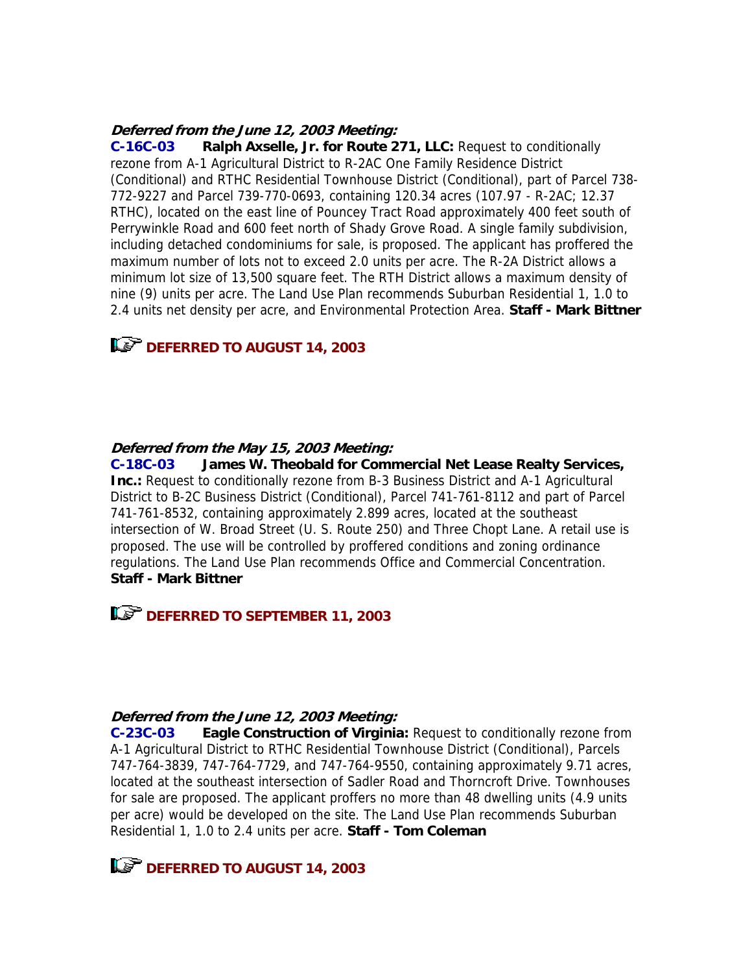### **Deferred from the June 12, 2003 Meeting:**

**C-16C-03 Ralph Axselle, Jr. for Route 271, LLC:** Request to conditionally rezone from A-1 Agricultural District to R-2AC One Family Residence District (Conditional) and RTHC Residential Townhouse District (Conditional), part of Parcel 738- 772-9227 and Parcel 739-770-0693, containing 120.34 acres (107.97 - R-2AC; 12.37 RTHC), located on the east line of Pouncey Tract Road approximately 400 feet south of Perrywinkle Road and 600 feet north of Shady Grove Road. A single family subdivision, including detached condominiums for sale, is proposed. The applicant has proffered the maximum number of lots not to exceed 2.0 units per acre. The R-2A District allows a minimum lot size of 13,500 square feet. The RTH District allows a maximum density of nine (9) units per acre. The Land Use Plan recommends Suburban Residential 1, 1.0 to 2.4 units net density per acre, and Environmental Protection Area. **Staff - Mark Bittner**

# **LAP DEFERRED TO AUGUST 14, 2003**

### **Deferred from the May 15, 2003 Meeting:**

**C-18C-03 James W. Theobald for Commercial Net Lease Realty Services, Inc.:** Request to conditionally rezone from B-3 Business District and A-1 Agricultural District to B-2C Business District (Conditional), Parcel 741-761-8112 and part of Parcel 741-761-8532, containing approximately 2.899 acres, located at the southeast intersection of W. Broad Street (U. S. Route 250) and Three Chopt Lane. A retail use is proposed. The use will be controlled by proffered conditions and zoning ordinance regulations. The Land Use Plan recommends Office and Commercial Concentration. **Staff - Mark Bittner**

**DEFERRED TO SEPTEMBER 11, 2003** 

### **Deferred from the June 12, 2003 Meeting:**

**C-23C-03 Eagle Construction of Virginia:** Request to conditionally rezone from A-1 Agricultural District to RTHC Residential Townhouse District (Conditional), Parcels 747-764-3839, 747-764-7729, and 747-764-9550, containing approximately 9.71 acres, located at the southeast intersection of Sadler Road and Thorncroft Drive. Townhouses for sale are proposed. The applicant proffers no more than 48 dwelling units (4.9 units per acre) would be developed on the site. The Land Use Plan recommends Suburban Residential 1, 1.0 to 2.4 units per acre. **Staff - Tom Coleman**

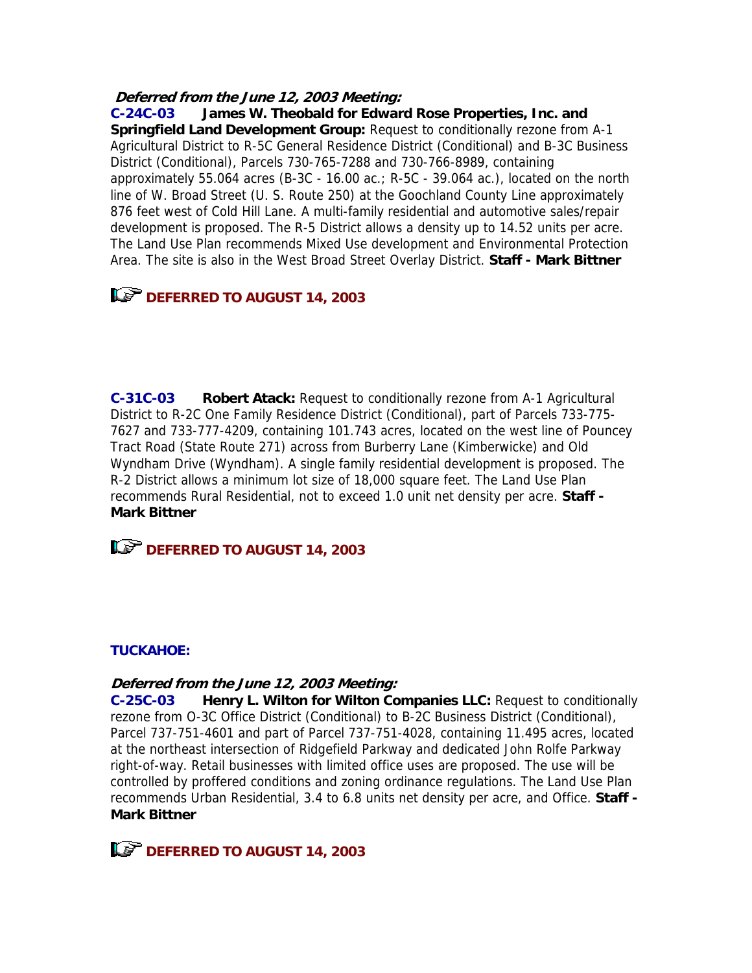### **Deferred from the June 12, 2003 Meeting:**

**C-24C-03 James W. Theobald for Edward Rose Properties, Inc. and Springfield Land Development Group:** Request to conditionally rezone from A-1 Agricultural District to R-5C General Residence District (Conditional) and B-3C Business District (Conditional), Parcels 730-765-7288 and 730-766-8989, containing approximately 55.064 acres (B-3C - 16.00 ac.;  $R$ -5C - 39.064 ac.), located on the north line of W. Broad Street (U. S. Route 250) at the Goochland County Line approximately 876 feet west of Cold Hill Lane. A multi-family residential and automotive sales/repair development is proposed. The R-5 District allows a density up to 14.52 units per acre. The Land Use Plan recommends Mixed Use development and Environmental Protection Area. The site is also in the West Broad Street Overlay District. **Staff - Mark Bittner**

# **DEFERRED TO AUGUST 14, 2003**

**C-31C-03 Robert Atack:** Request to conditionally rezone from A-1 Agricultural District to R-2C One Family Residence District (Conditional), part of Parcels 733-775- 7627 and 733-777-4209, containing 101.743 acres, located on the west line of Pouncey Tract Road (State Route 271) across from Burberry Lane (Kimberwicke) and Old Wyndham Drive (Wyndham). A single family residential development is proposed. The R-2 District allows a minimum lot size of 18,000 square feet. The Land Use Plan recommends Rural Residential, not to exceed 1.0 unit net density per acre. **Staff - Mark Bittner**

**DEFERRED TO AUGUST 14, 2003** 

# **TUCKAHOE:**

### **Deferred from the June 12, 2003 Meeting:**

**C-25C-03 Henry L. Wilton for Wilton Companies LLC:** Request to conditionally rezone from O-3C Office District (Conditional) to B-2C Business District (Conditional), Parcel 737-751-4601 and part of Parcel 737-751-4028, containing 11.495 acres, located at the northeast intersection of Ridgefield Parkway and dedicated John Rolfe Parkway right-of-way. Retail businesses with limited office uses are proposed. The use will be controlled by proffered conditions and zoning ordinance regulations. The Land Use Plan recommends Urban Residential, 3.4 to 6.8 units net density per acre, and Office. **Staff - Mark Bittner**

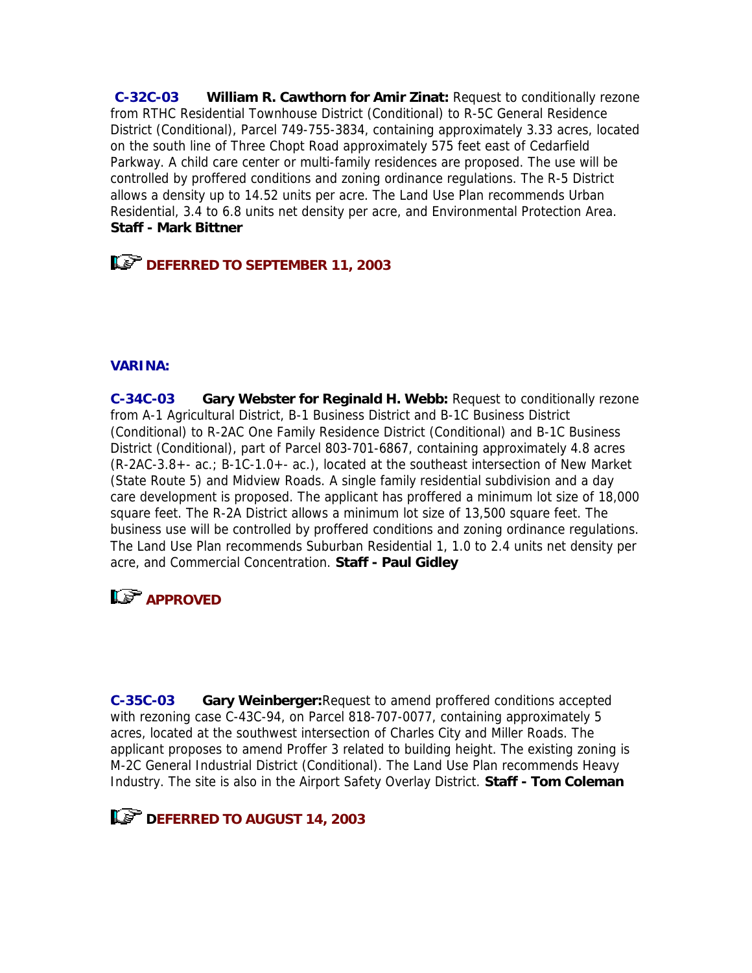**C-32C-03 William R. Cawthorn for Amir Zinat:** Request to conditionally rezone from RTHC Residential Townhouse District (Conditional) to R-5C General Residence District (Conditional), Parcel 749-755-3834, containing approximately 3.33 acres, located on the south line of Three Chopt Road approximately 575 feet east of Cedarfield Parkway. A child care center or multi-family residences are proposed. The use will be controlled by proffered conditions and zoning ordinance regulations. The R-5 District allows a density up to 14.52 units per acre. The Land Use Plan recommends Urban Residential, 3.4 to 6.8 units net density per acre, and Environmental Protection Area. **Staff - Mark Bittner**

**DEFERRED TO SEPTEMBER 11, 2003** 

## **VARINA:**

**C-34C-03 Gary Webster for Reginald H. Webb:** Request to conditionally rezone from A-1 Agricultural District, B-1 Business District and B-1C Business District (Conditional) to R-2AC One Family Residence District (Conditional) and B-1C Business District (Conditional), part of Parcel 803-701-6867, containing approximately 4.8 acres (R-2AC-3.8+- ac.; B-1C-1.0+- ac.), located at the southeast intersection of New Market (State Route 5) and Midview Roads. A single family residential subdivision and a day care development is proposed. The applicant has proffered a minimum lot size of 18,000 square feet. The R-2A District allows a minimum lot size of 13,500 square feet. The business use will be controlled by proffered conditions and zoning ordinance regulations. The Land Use Plan recommends Suburban Residential 1, 1.0 to 2.4 units net density per acre, and Commercial Concentration. **Staff - Paul Gidley**

# **L<sub>S</sub>** APPROVED

**C-35C-03 Gary Weinberger:**Request to amend proffered conditions accepted with rezoning case C-43C-94, on Parcel 818-707-0077, containing approximately 5 acres, located at the southwest intersection of Charles City and Miller Roads. The applicant proposes to amend Proffer 3 related to building height. The existing zoning is M-2C General Industrial District (Conditional). The Land Use Plan recommends Heavy Industry. The site is also in the Airport Safety Overlay District. **Staff - Tom Coleman**